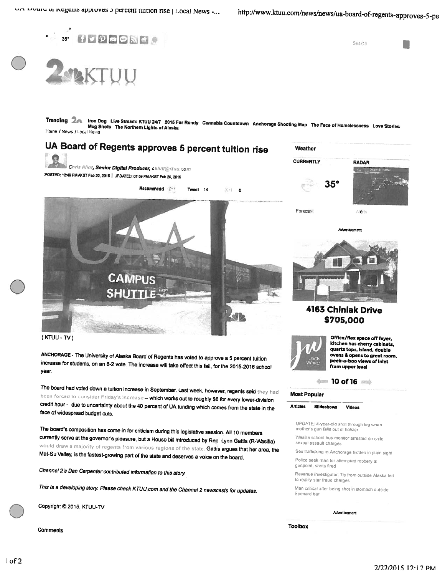

Trending 2<sub>dk</sub> Iron Dog Live Stream: KTUU 24/7 2015 Fur Rondy Cannabis Countdown Anchorage Shooting Map The Face of Homelessness Love Stories<br>Mug Shots The Northern Lights of Alaska Home / News / Local News



increase for students, on an 8-2 vote. The increase will take effect this fall, for the 2015-2016 school year.

The board had voted down a tuition increase in September. Last week, however, regents seid they had<br>been forced to consider Friday's increase -- which works out to roughly \$8 for every lower-division<br>credit hour -- due to

The board's composition has come in for criticism during this legislative session All <sup>10</sup> members currently serve at the governor's pleasure, but a House bill introduced by Rep. Lynn Gattis (R-Wasilla) would draw a majority of regents from various regions of the state. Gattis argues that her area, the<br>Mat-Su Valley, is the fastest-growing part of the state and deserves a voice on the board.

Channel 2's Dan Carpenter contributed information to this story.

This is a developing story. Please check KTUU com and the Channel 2 newscasts for updates.



Comments



ovens & opens to great room, peek-a-boo views of inlet from upper level



#### Most Popular

Articles Slideshows Videos

UPDATE: 4-year-old shot through leg when mother's gun falls out of holster

Wasilla school bus monitor arrested on child sexual assault charges

Sex trafficking in Anchorage hidden in plain sight Police seek man for attempted robbery at

gunpoint, shots fired

Revenue investigator. Tip from outside Alaska led to reality star fraud charges

Man critical after being shot in stomach outside Spenard bar

Advertisement

Toolbox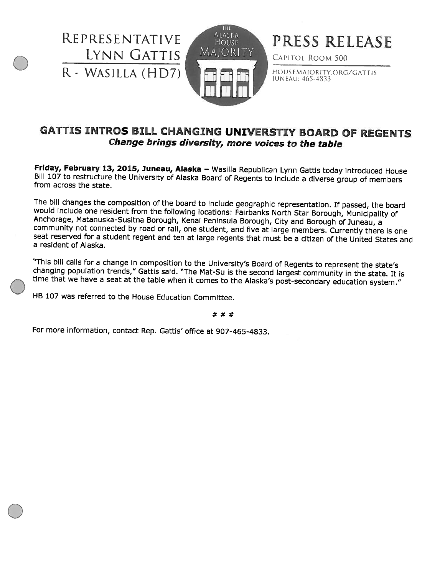REPRESENTAT1VE LYNN GATTIs <sup>R</sup> - WASILLA (HD7)



PRESS RELEASE

CAPITOL ROOM 500

HOUSEMAJORITY.ORG/GATTIS JUNEAU: 465-4833

### GATTIS INTROS BILL CHANGING UNIVERSTIY BOARD OF REGENTS Change brings diversity, more voices to the table

Friday, February 13, 2015, Juneau, Alaska – Wasilla Republican Lynn Gattis today introduced House<br>Bill 107 to restructure the University of Alaska Board of Regents to include a diverse group of members from across the stat

The bill changes the composition of the board to include geographic representation. If passed, the board would include one resident from the following locations: Fairbanks North Star Borough, Municipality of Anchorage, Mat <sup>a</sup> resident of Alaska.

"This bill calls for a change in composition to the University's Board of Regents to represent the state's<br>changing population trends," Gattis said. "The Mat-Su is the second largest community in the state. It is<br>time that

HB 107 was referred to the House Education Committee.

 $# # #$ 

For more information, contact Rep. Gattis' office at 907-465-4833.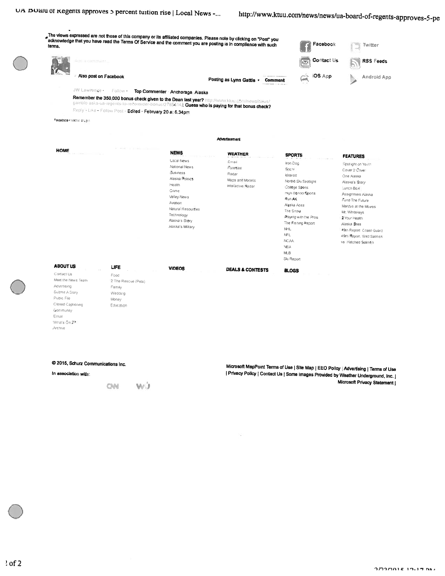# http://www.ktuu.com/news/news/ua-board-of-regents-approves-5-pe



@ 2015, Schurz Communications Inc.

In association with:

CM W.J

Microsoft MapPoint Terms of Use | Site Map | EEO Policy | Advertising | Terms of Use Privacy Policy | Contact Us | Some Images Provided by Weather Underground, Inc. | Microsoft Privacy Statement |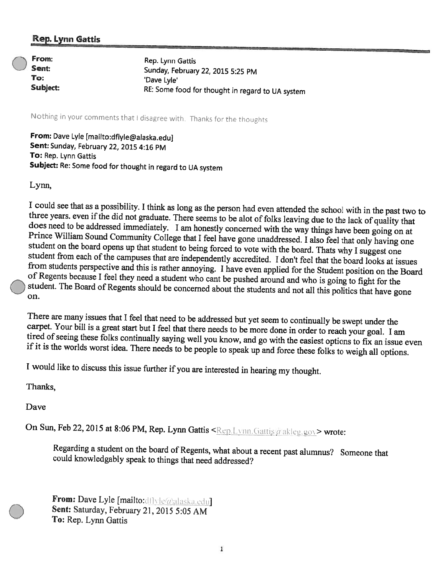### Rep. Lynn Gattis

| $\curvearrowright$ From: | Rep. Lynn Gattis                                 |
|--------------------------|--------------------------------------------------|
| Sent:                    | Sunday, February 22, 2015 5:25 PM                |
| To:                      | 'Dave Lyle'                                      |
| Subject:                 | RE: Some food for thought in regard to UA system |

Nothing in your comments that I disagree with. Thanks for the thoug

From: Dave Lyle [mailto:dflyle@alaska.edu]<br>Sent: Sunday, February 22, 2015 4:16 PM To: Rep. Lynn Gattis Subject: Re: Some food for thought in regard to UA system

Lynn,

I could see that as a possibility. I think as long as the person had even attended the school with in the past two to three years. even if the did not graduate. There seems to be alot of folks leaving due to the lack of qu

There are many issues that I feel that need to be addressed but yet seem to continually be swept under the carpet. Your bill is a great start but I feel that there needs to be more done in order to reach your goal. I am ti

<sup>I</sup> would like to discuss this issue further if you are interested in hearing my thought.

Thanks,

Dave

On Sun, Feb 22, 2015 at 8:06 PM, Rep. Lynn Gattis <Rep. Lynn. Gattis a akleg gov> wrote:

Regarding <sup>a</sup> student on the board of Regents, what about <sup>a</sup> recent past alumnus? Someone that could knowledgably speak to things that need addressed'?

From: Dave Lyle [mailto:dilvle@alaska.edu]<br>Sent: Saturday, February 21, 2015 5:05 AM To: Rep. Lynn Gattis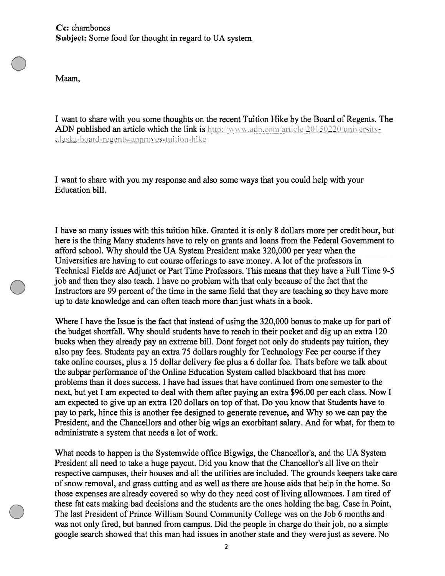Maam,

I want to share with you some thoughts on the recent Tuition Hike by the Board of Regents. The ADN published an article which the link is http://www.adn.com/article/20150220/universityalaska-board-regents-approves-tuition-hike

I want to share with you my response and also some ways that you could help with your Education bill.

I have so many issues with this tuition hike. Granted it is oniy 8 dollars more per credit hour, but here is the thing Many students have to rely on grants and loans from the Federal Government to afford school. Why should the UA System President make 320,000 per year when the Universities are having to cut course offerings to save money. A lot of the professors in Technical Fields are Adjunct or Part Time Professors. This means that they have <sup>a</sup> Full Time 9-5 job and then they also teach. I have no problem with that only because of the fact that the Instructors are 99 percent of the time in the same field that they are teaching so they have more up to date knowledge and can often teach more than just whats in <sup>a</sup> book.

Where I have the Issue is the fact that instead of using the 320,000 bonus to make up for par<sup>t</sup> of the budget shortfall. Why should students have to reach in their pocket and dig up an extra 120 bucks when they already pay an extreme bill. Dont forget not only do students pay tuition, they also pay fees. Students pay an extra 75 dollars roughly for Technology Fee per course ifthey take online courses, plus <sup>a</sup> 15 dollar delivery fee plus <sup>a</sup> 6 dollar fee. Thats before we talk about the subpar performance of the Online Education System called blackboard that has more problems than it does success. I have had issues that have continued from one semester to the next, but ye<sup>t</sup> I am expected to deal with them after paying an extra \$96.00 per each class. Now I am expected to give up an extra 120 dollars on top of that. Do you know that Students have to pay to park, hince this is another fee designed to generate revenue, and Why so we can pay the President, and the Chancellors and other big wigs an exorbitant salary. And for what, for them to administrate <sup>a</sup> system that needs <sup>a</sup> lot of work.

What needs to happen is the Systemwide office Bigwigs, the Chancellor's, and the UA System President all need to take <sup>a</sup> huge paycut. Did you know that the Chancellor's all live on their respective campuses, their houses and all the utilities are included. The grounds keepers take care of snow removal, and grass cutting and as well as there are house aids that help in the home. So those expenses are already covered so why do they need cost of living allowances. I am tired of these fat cats making bad decisions and the students are the ones holding the hag. Case in Point, The last President of Prince William Sound Community College was on the Job 6 months and was not only fired, but banned from campus. Did the people in charge do their job, no <sup>a</sup> simple google search showed that this man had issues in another state and they were just as severe. No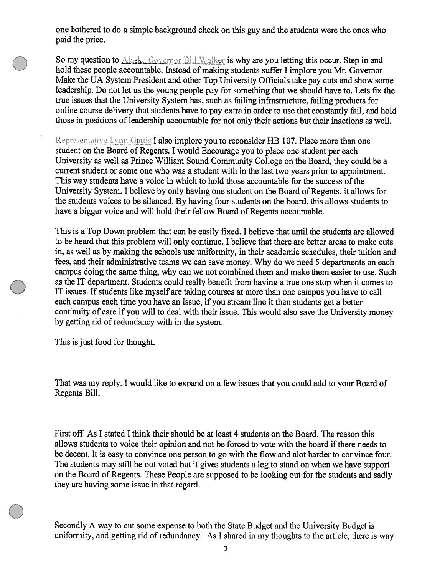one bothered to do <sup>a</sup> simple background check on this guy and the students were the ones who paid the price.

So my question to Alaska Governor Bill Walker is why are you letting this occur. Step in and hold these people accountable. Instead of making students suffer <sup>I</sup> implore you Mr. Governor Make the UA System President and other Top University Officials take pay cuts and show some leadership. Do not let us the young people pay for something that we should have to. Lets fix the true issues that the University System has, such as failing infrastructure, failing products for online course delivery that students have to pay extra in order to use that constantly fail, and hold those in positions of leadership accountable for not only their actions but their inactions as well.

Representative Lynn Gattis I also implore you to reconsider HB 107. Place more than one student on the Board of Regents. <sup>I</sup> would Encourage you to <sup>p</sup>lace one student per each University as well as Prince William Sound Community College on the Board, they could be <sup>a</sup> current student or some one who was <sup>a</sup> student with in the last two years prior to appointment. This way students have a voice in which to hold those accountable for the success of the University System. I believe by only having one student on the Board of Regents, it allows for the students voices to be silenced. By having four students on the board, this allows students to have a bigger voice and will hold their fellow Board of Regents accountable.

This is <sup>a</sup> Top Down problem that can be easily fixed. I believe that until the students are allowed to be heard that this problem will only continue. I believe that there are better areas to make cuts in, as well as by making the schools use uniformity, in their academic schedules, their tuition and fees, and their administrative teams we can save money. Why do we need 5 departments on each campus doing the same thing, why can we not combined them and make them easier to use. Such as the IT department. Students could really benefit from having <sup>a</sup> true one stop when it comes to IT issues. If students like myself are taking courses at more than one campus you have to call each campus each time you have an issue, if you stream line it then students ge<sup>t</sup> <sup>a</sup> better continuity of care if you will to deal with their issue. This would also save the University money by getting rid of redundancy with in the system.

This is just food for thought.

That was my reply. <sup>I</sup> would like to expand on <sup>a</sup> few issues that you could add to your Board of Regents Bill.

First off As I stated I think their should he at least 4 students on the Board. The reason this allows students to voice their opinion and not be forced to vote with the board if there needs to be decent. It is easy to convince one person to go with the flow and alot harder to convince four. The students may still be out voted but it gives students <sup>a</sup> leg to stand on when we have suppor<sup>t</sup> on the Board of Regents. These People are supposed to be looking out for the students and sadly they are having some issue in that regard.

Secondly <sup>A</sup> way to cut some expense to both the State Budget and the University Budget is uniformity, and getting rid of redundancy. As <sup>I</sup> shared in my thoughts to the article, there is way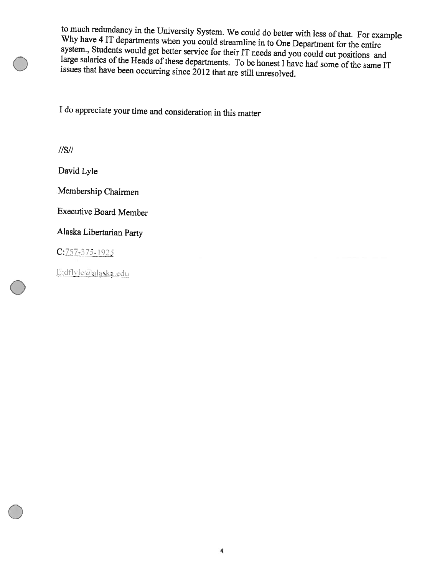to much redundancy in the University System. We could do better with less of that. For example Why to much redundancy in the University System. We could do better with less of that. For example<br>Why have 4 IT departments when you could streamline in to One Department for the entire<br>system., Students would get better serv

<sup>I</sup> do appreciate your time and consideration in this matter

I/S/I

David Lyle

Membership Chairmen

Executive Board Member

Alaska Libertarian Party

 $C: 757 - 375 - 1925$ 

E:dflyle@alaska.edu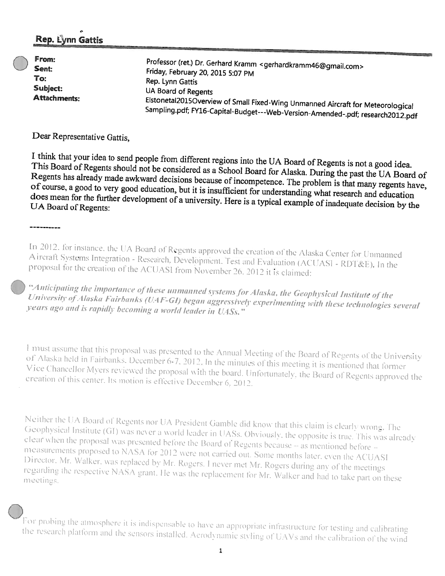## Rep. Lynn Gattis

| From:                                           | Professor (ret.) Dr. Gerhard Kramm <gerhardkramm46@gmail.com></gerhardkramm46@gmail.com> |
|-------------------------------------------------|------------------------------------------------------------------------------------------|
| Sent:<br>To:<br>Subject:<br><b>Attachments:</b> | Friday, February 20, 2015 5:07 PM                                                        |
|                                                 | Rep. Lynn Gattis                                                                         |
|                                                 | UA Board of Regents                                                                      |
|                                                 | Elstonetal2015Overview of Small Fixed-Wing Unmanned Aircraft for Meteorological          |
|                                                 | Sampling.pdf; FY16-Capital-Budget---Web-Version-Amended-.pdf; research2012.pdf           |

Dear Representative Gattis.

-----------

I think that your idea to send people from different regions into the UA Board of Regents is not a good idea. This Board of Regents should not be considered as a School Board for Alaska. During the past the UA Board of Regents has already made awkward decisions because of incompetence. The problem is that many regents have, of course, a good to very good education, but it is insufficient for understanding what research and education does mean for the further development of a university. Here is a typical example of inadequate decision by the UA Board of Regents:

In 2012, for instance, the UA Board of Regents approved the creation of the Alaska Center for Unmanned Aircraft Systems Integration - Research, Development, Test and Evaluation (ACUASI - RDT&E). In the proposal for the creation of the ACUASI from November 26, 2012 it is claimed:

"Anticipating the importance of these unmanned systems for Alaska, the Geophysical Institute of the University of Alaska Fairbanks (UAF-GI) began aggressively experimenting with these technologies several years ago and is rapidly becoming a world leader in UASs."

I must assume that this proposal was presented to the Annual Meeting of the Board of Regents of the University of Alaska held in Fairbanks. December 6-7, 2012. In the minutes of this meeting it is mentioned that former Vice Chancellor Myers reviewed the proposal with the board. Unfortunately, the Board of Regents approved the creation of this center. Its motion is effective December 6, 2012.

Neither the UA Board of Regents nor UA President Gamble did know that this claim is clearly wrong. The Geophysical Institute (GI) was never a world leader in UASs. Obviously, the opposite is true. This was already clear when the proposal was presented before the Board of Regents because -- as mentioned before -measurements proposed to NASA for 2012 were not carried out. Some months later, even the ACUASI Director, Mr. Walker, was replaced by Mr. Rogers. I never met Mr. Rogers during any of the meetings regarding the respective NASA grant. He was the replacement for Mr. Walker and had to take part on these meetings.

For probing the atmosphere it is indispensable to have an appropriate infrastructure for testing and calibrating the research platform and the sensors installed. Aerodynamic styling of UAVs and the calibration of the wind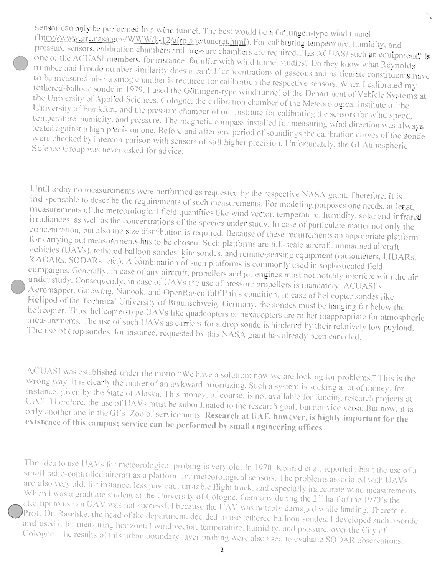sensor can only be performed in a wind tunnel. The best would be a Göttingen-type wind tunnel (http://www.grc.nasa.gov/WWW/k-12/airplane/tuncret.html). For calibrating temperature, humidity, and pressure sensors, calibration chambers and pressure chambers are required. Has ACUASI such an equipment? Is one of the ACUASI members, for instance, familiar with wind tunnel studies? Do they know what Reynolds number and Froude number similarity does mean? If concentrations of gaseous and particulate constituents have to be measured, also a smog chamber is required for calibration the respective sensors. When I calibrated my tethered-balloon sonde in 1979. I used the Göttingen-type wind tunnel of the Department of Vehicle Systems at the University of Applied Sciences. Cologne, the calibration chamber of the Meteorological Institute of the University of Frankfurt, and the pressure chamber of our institute for calibrating the sensors for wind speed, temperature, humidity, and pressure. The magnetic compass installed for measuring wind direction was always tested against a high precision one. Before and after any period of soundings the calibration curves of the sonde were checked by intercomparison with sensors of still higher precision. Unfortunately, the GI Atmospheric Science Group was never asked for advice.

Until today no measurements were performed as requested by the respective NASA grant. Therefore, it is indispensable to describe the requirements of such measurements. For modeling purposes one needs, at least, measurements of the meteorological field quantities like wind vector, temperature, humidity, solar and infrared irradiances, as well as the concentrations of the species under study. In case of particulate matter not only the concentration, but also the size distribution is required. Because of these requirements an appropriate platform for carrying out measurements has to be chosen. Such platforms are full-scale aircraft, unmanned aircraft vehicles (UAVs), tethered balloon sondes, kite sondes, and remote-sensing equipment (radiometers, LIDARs, RADARs, SODARs, etc.). A combination of such platforms is commonly used in sophisticated field campaigns. Generally, in case of any aircraft, propellers and jet-engines must not notably interfere with the air under study. Consequently, in case of UAVs the use of pressure propellers is mandatory. ACUASI's Aeromapper, Gatewing, Nanook, and OpenRaven fulfill this condition. In case of helicopter sondes like Helipod of the Technical University of Braunschweig, Germany, the sondes must be hanging far below the helicopter. Thus, helicopter-type UAVs like quadcopters or hexacopters are rather inappropriate for atmospheric measurements. The use of such UAVs as carriers for a drop sonde is hindered by their relatively low payload. The use of drop sondes, for instance, requested by this NASA grant has already been canceled.

ACUASI was established under the motto "We have a solution: now we are looking for problems." This is the wrong way. It is clearly the matter of an awkward prioritizing. Such a system is sucking a lot of money, for instance, given by the State of Alaska. This money, of course, is not available for funding research projects at UAF. Therefore, the use of UAVs must be subordinated to the research goal, but not vice versa. But now, it is only another one in the GI's Zoo of service units. Research at UAF, however, is highly important for the existence of this campus; service can be performed by small engineering offices.

The idea to use UAVs for meteorological probing is very old. In 1970, Konrad et al. reported about the use of a small radio-controlled aircraft as a platform for meteorological sensors. The problems associated with UAVs are also very old, for instance, less payload, unstable flight track, and especially inaccurate wind measurements. When I was a graduate student at the University of Cologne. Germany during the 2<sup>nd</sup> half of the 1970's the attempt to use an UAV was not successful because the UAV was notably damaged while landing. Therefore, Prof. Dr. Raschke, the head of the department, decided to use tethered balloon sondes. I developed such a sonde and used it for measuring horizontal wind vector, temperature, humidity, and pressure, over the City of Cologne. The results of this urban boundary layer probing were also used to evaluate SODAR observations.

 $\overline{2}$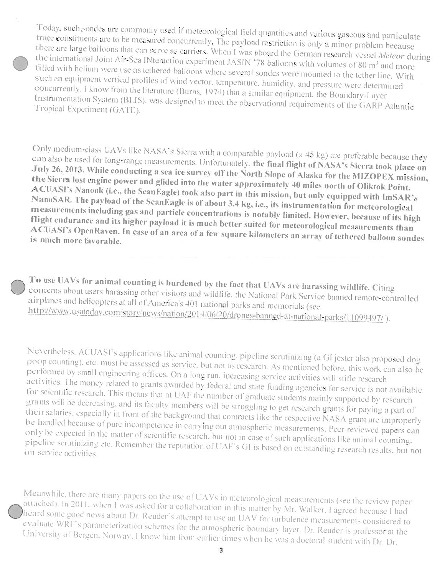Today, such sondes are commonly used if meteorological field quantities and various gaseous and particulate trace constituents are to be measured concurrently. The payload restriction is only a minor problem because there are large balloons that can serve as carriers. When I was aboard the German research vessel Meteor during the international Joint Air-Sea INteraction experiment JASIN<sup>1</sup>78 balloons with volumes of 80 m<sup>3</sup> and more filled with helium were use as tethered balloons where several sondes were mounted to the tether line. With such an equipment vertical profiles of wind vector, temperature, humidity, and pressure were determined concurrently. I know from the literature (Burns, 1974) that a similar equipment, the Boundary-Layer Instrumentation System (BLIS), was designed to meet the observational requirements of the GARP Atlantic Tropical Experiment (GATE).

Only medium-class UAVs like NASA's Sierra with a comparable payload (» 45 kg) are preferable because they can also be used for long-range measurements. Unfortunately, the final flight of NASA's Sierra took place on July 26, 2013. While conducting a sea ice survey off the North Slope of Alaska for the MIZOPEX mission, the Sierra lost engine power and glided into the water approximately 40 miles north of Oliktok Point. ACUASI's Nanook (i.e., the ScanEagle) took also part in this mission, but only equipped with ImSAR's NanoSAR. The payload of the ScanEagle is of about 3.4 kg, i.e., its instrumentation for meteorological measurements including gas and particle concentrations is notably limited. However, because of its high flight endurance and its higher payload it is much better suited for meteorological measurements than ACUASI's OpenRaven. In case of an area of a few square kilometers an array of tethered balloon sondes is much more favorable.

To use UAVs for animal counting is burdened by the fact that UAVs are harassing wildlife. Citing concerns about users harassing other visitors and wildlife, the National Park Service banned remote-controlled airplanes and helicopters at all of America's 401 national parks and memorials (see http://www.usatoday.com/story/news/nation/2014/06/20/drones-banned-at-national-parks/11099497/).

Nevertheless, ACUASI's applications like animal counting, pipeline scrutinizing (a GI jester also proposed dog poop counting), etc. must be assessed as service, but not as research. As mentioned before, this work can also be performed by small engineering offices. On a long run, increasing service activities will stifle research activities. The money related to grants awarded by federal and state funding agencies for service is not available for scientific research. This means that at UAF the number of graduate students mainly supported by research grants will be decreasing, and its faculty members will be struggling to get research grants for paying a part of their salaries, especially in front of the background that contracts like the respective NASA grant are improperly be handled because of pure incompetence in carrying out atmospheric measurements. Peer-reviewed papers can only be expected in the matter of scientific research, but not in case of such applications like animal counting. pipeline scrutinizing etc. Remember the reputation of UAF's GI is based on outstanding research results, but not on service activities.

Meanwhile, there are many papers on the use of UAVs in meteorological measurements (see the review paper attached). In 2011, when I was asked for a collaboration in this matter by Mr. Walker, I agreed because I had heard some good news about Dr. Reuder's attempt to use an UAV for turbulence measurements considered to evaluate WRF's parameterization schemes for the atmospheric boundary layer. Dr. Reuder is professor at the University of Bergen, Norway, I know him from earlier times when he was a doctoral student with Dr. Dr.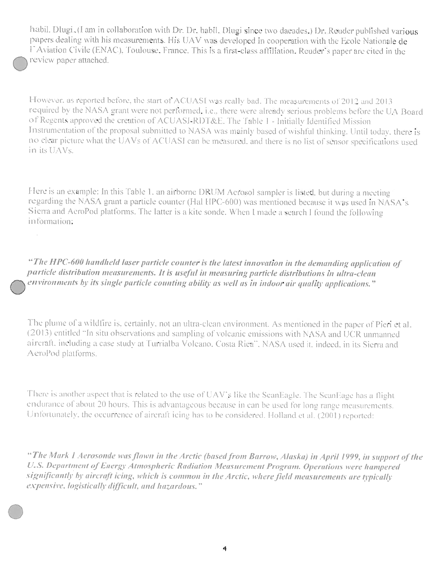habil. Dlugi, (I am in collaboration with Dr. Dr. habil, Dlugi since two dacades.) Dr. Reuder published various papers dealing with his measurements. His UAV was developed in cooperation with the Ecole Nationale de l'Aviation Civile (ENAC), Toulouse, France. This is a first-class affiliation. Reuder's paper are cited in the review paper attached.

However, as reported before, the start of ACUASI was really bad. The measurements of 2012 and 2013 required by the NASA grant were not performed, i.e., there were already serious problems before the UA Board of Regents approved the creation of ACUASI-RDT&E. The Table 1 - Initially Identified Mission Instrumentation of the proposal submitted to NASA was mainly based of wishful thinking. Until today, there is no elear picture what the UAVs of ACUASI can be measured, and there is no list of sensor specifications used in its UAVs.

Here is an example: In this Table 1, an airborne DRUM Aerosol sampler is listed, but during a meeting regarding the NASA grant a particle counter (Hal HPC-600) was mentioned because it was used in NASA's Sierra and AeroPod platforms. The latter is a kite sonde. When I made a search I found the following information;

"The HPC-600 handheld laser particle counter is the latest innovation in the demanding application of particle distribution measurements. It is useful in measuring particle distributions in ultra-clean environments by its single particle counting ability as well as in indoor air quality applications."

The plume of a wildfire is, certainly, not an ultra-clean environment. As mentioned in the paper of Pieri et al. (2013) entitled "In situ observations and sampling of volcanic emissions with NASA and UCR unmanned aircraft, including a case study at Turrialba Volcano, Costa Rica", NASA used it, indeed, in its Sierra and AeroPod platforms.

There is another aspect that is related to the use of UAV's like the ScanEagle. The ScanEage has a flight endurance of about 20 hours. This is advantageous because in can be used for long range measurements. Unfortunately, the occurrence of aircraft icing has to be considered. Holland et al. (2001) reported:

"The Mark I Aerosonde was flown in the Arctic (based from Barrow, Alaska) in April 1999, in support of the U.S. Department of Energy Atmospheric Radiation Measurement Program. Operations were hampered significantly by aircraft icing, which is common in the Arctic, where field measurements are typically expensive, logistically difficult, and hazardous."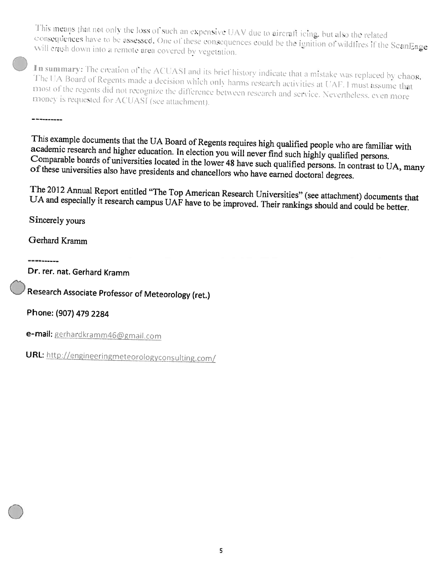This means that not only the loss of such an expensive UAV due to aircraft icing, but also the related consequences have to be assessed. One of these consequences could be the ignition of wildfires if the ScanEage will crash down into a remote area covered by vegetation.

In summary: The creation of the ACUASI and its brief history indicate that a mistake was replaced by chaos. The UA Board of Regents made a decision which only harms research activities at UAF. I must assume that most of the regents did not recognize the difference between research and service. Nevertheless, even more money is requested for ACUASI (see attachment).

This example documents that the UA Board of Regents requires high qualified people who are familiar with academic research and higher education. In election you will never find such highly qualified persons. Comparable boards of universities located in the lower 48 have such qualified persons. In contrast to UA, many of these universities also have presidents and chancellors who have earned doctoral degrees.

The 2012 Annual Report entitled "The Top American Research Universities" (see attachment) documents that UA and especially it research campus UAF have to be improved. Their rankings should and could be better.

Sincerely yours

----------

Gerhard Kramm

-----------

Dr. rer. nat. Gerhard Kramm

Research Associate Professor of Meteorology (ret.)

Phone: (907) 479 2284

e-mail: gerhardkramm46@gmail.com

URL: http://engineeringmeteorologyconsulting.com/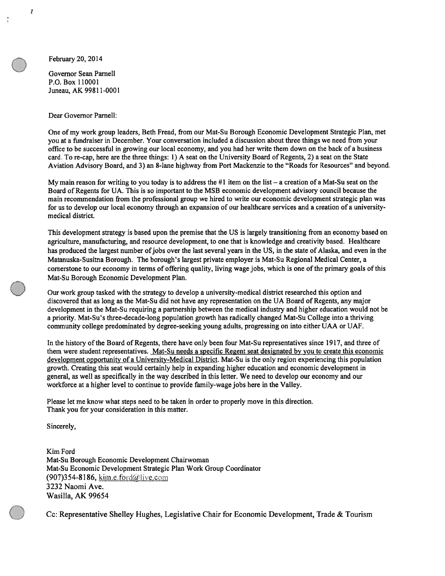February 20, 2014

ŧ

Governor Sean Parnell P.O. Box 110001 Juneau, AK 99811-0001

#### Dear Governor Parnell:

One of my work group leaders, Beth Fread, from our Mat-Su Borough Economic Development Strategic Plan, met you at <sup>a</sup> fundraiser in December. Your conversation included <sup>a</sup> discussion about three things we need from your office to be successful in growing our local economy, and you had her write them down on the back of <sup>a</sup> business card. To re-cap, here are the three things: 1) A seat on the University Board of Regents, 2) <sup>a</sup> seat on the State Aviation Advisory Board, and 3) an 8-lane highway from Port Mackenzie to the "Roads for Resources" and beyond.

My main reason for writing to you today is to address the  $#1$  item on the list – a creation of a Mat-Su seat on the Board of Regents for UA. This is so important to the MSB economic development advisory council because the main recommendation from the professional group we hired to write our economic development strategic plan was for us to develop our local economy through an expansion of our healthcare services and <sup>a</sup> creation of <sup>a</sup> universitymedical district.

This development strategy is based upon the premise that the US is largely transitioning from an economy based on agriculture, manufacturing, and resource development, to one that is knowledge and creativity based. Healthcare has produced the largest number ofjobs over the last several years in the US, in the state of Alaska, and even in the Matanuska-Susitna Borough. The borough's largest private employer is Mat-Su Regional Medical Center, <sup>a</sup> cornerstone to our economy in terms of offering quality, living wage jobs, which is one of the primary goals of this Mat-Su Borough Economic Development Plan.

Our work group tasked with the strategy to develop <sup>a</sup> university-medical district researched this option and discovered that as long as the Mat-Su did not have any representation on the UA Board of Regents, any major development in the Mat-Su requiring <sup>a</sup> partnership between the medical industry and higher education would not be <sup>a</sup> priority. Mat-Su's three-decade-long population growth has radically changed Mat-Su College into <sup>a</sup> thriving community college predominated by degree-seeking young adults, progressing on into either UAA or UAF.

In the history ofthe Board of Regents, there have only been four Mat-Su representatives since 1917, and three of them were student representatives. Mat-Su needs a specific Regent seat designated by you to create this economic development opportunity of <sup>a</sup> University-Medical District. Mat-Su is the only region experiencing this population growth. Creating this seat would certainly help in expanding higher education and economic development in general, as well as specifically in the way described in this letter. We need to develop our economy and our workforce at <sup>a</sup> higher level to continue to provide family-wage jobs here in the Valley.

Please let me know what steps need to be taken in order to properly move in this direction. Thank you for your consideration in this matter.

Sincerely,

Kim Ford Mat-Su Borough Economic Development Chairwoman Mat-Su Economic Development Strategic Plan Work Group Coordinator  $(907)$ 354-8186, kim.e.ford $\omega$ live.com 3232 Naomi Ave. Wasilla, AK 99654

Cc: Representative Shelley Hughes, Legislative Chair for Economic Development, Trade & Tourism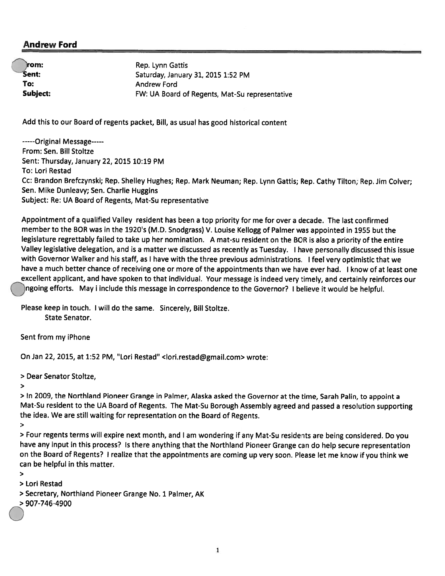#### Andrew Ford

rom:

Rep. Lynn Gattis Sent: Saturday, January 31, 2015 1:52 PM To: Andrew Ford Subject: FW: UA Board of Regents, Mat-Su representative

Add this to our Board of regents packet, Bill, as usual has goo<sup>d</sup> historical content

-----Original Message-----From: Sen. Bill Stoltze Sent: Thursday, January 22, 2015 10:19 PM To: Lori Restad Cc: Brandon Brefczynski; Rep. Shelley Hughes; Rep. Mark Neuman; Rep. Lynn Gattis; Rep. Cathy Tilton; Rep. Jim Colver; Sen. Mike Dunleavy; Sen. Charlie Huggins Subject: Re: UA Board of Regents, Mat-Su representative

Appointment of <sup>a</sup> qualified Valley resident has been <sup>a</sup> top priority for me for over <sup>a</sup> decade. The last confirmed member to the BOR was in the 1920's (M.D. Snodgrass) V. Louise Kellogg of Palmer was appointed in <sup>1955</sup> but the legislature regrettably failed to take up her nomination. <sup>A</sup> mat-su resident on the BOR is also <sup>a</sup> priority of the entire Valley legislative delegation, and is <sup>a</sup> matter we discussed as recently as Tuesday. <sup>I</sup> have personally discussed this issue with Governor Walker and his staff, as <sup>I</sup> have with the three previous administrations. <sup>I</sup> feel very optimistic that we have <sup>a</sup> much better chance of receiving one or more of the appointments than we have ever had. <sup>I</sup> know of at least one excellent applicant, and have spoken to that individual. Your message is indeed very timely, and certainly reinforces our )ngoing efforts. May i include this message in correspondence to the Governor? I believe it would be helpful.

Please keep in touch. <sup>I</sup> will do the same. Sincerely, Bill Stoltze. State Senator.

Sent from my iPhone

On Jan 22, 2015, at 1:52 PM, "Lori Restad" <lori.restad@gmail.com> wrote:

<sup>&</sup>gt; Dear Senator Stoltze,

>

<sup>&</sup>gt; In 2009, the Northland Pioneer Grange in Palmer, Alaska asked the Governor at the time, Sarah Palm, to appoint <sup>a</sup> Mat-Su resident to the UA Board of Regents. The Mat-Su Borough Assembly agree<sup>d</sup> and passe<sup>d</sup> <sup>a</sup> resolution supporting the idea. We are still waiting for representation on the Board of Regents.

>

<sup>&</sup>gt; Four regents terms will expire next month, and <sup>I</sup> am wondering if any Mat-Su residents are being considered. Do you have any input in this process? Is there anything that the Northland Pioneer Grange can do help secure representation on the Board of Regents? <sup>I</sup> realize that the appointments are coming up very soon. Please let me know if you think we can be helpful in this matter.

>

> Lori Restad

- <sup>&</sup>gt; Secretary, Northland Pioneer Grange No. 1 Palmer, AK
- <sup>&</sup>gt; 907-746-4900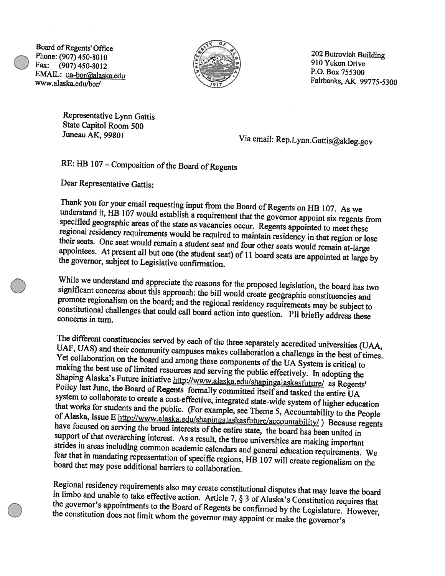Board of Regents' Office<br>
Phone: (907) 450-8010<br>
Fax: (907) 450-8010<br>
Fax: (907) 450-9010 Phone: (907) 450-8010<br>Fax: (907) 450-8012 910 Yukon Drive 450-8012<br>FMAII : up ber@electe at: EMAIL: ua-bor@alaska.edu www.alaska.edu/bor/ Fairbanks, AK 99775-5300



Representative Lynn Gattis State Capitol Room 500<br>Juneau AK, 99801

Via email: Rep.Lynn.Gattis@akleg.gov

## RE: HB 107 - Composition of the Board of Regents

Dear Representative Gattis:

Thank you for your email requesting input from the Board of Regents on HB 107. As we specified geographic understand it, HB 107 would establish regional residency requirements would be required to maintain residency in that region or lose their seats. One seat would remain a student seat and four other seats would remain at-large the governor, subject to Legislative confirmation. appointees. At present all but one (the student seat) of 11 board seats are appointed at large by

While we understand and appreciate the reasons for the proposed legislation, the board has two significant concerns about this approach: the bill would create geographic constituencies and promote regionalism on the board;

UAF, UAS) The different constituencies served by each of the three separately accredited universities (UAA,<br>UAF UAS) and their community cause UAF, UAS) and their community campuses makes collaboration a challenge in the best of times. making the Yet collaboration on the board and among these components of the UA System is critical to Shaping Alaska's best use of limited resources and serving the public effectively. In adopting the ska's Future initiative http://www.alaska.edu/shapingalaskasfuture/ as Regents system Policy last June, the Board of Regents formally committed itself and tasked the entire UA<br>system to collaborate to create a cost-effective, integrated state-wide system of higher education<br>that works for students and the p that works for students and the public. (For example, see Theme 5, Accountability to the People of Alaska, Issue E http://www.alaska.edu/shapingalaskasfuture/accountability/) Because regents have focused on serving the bro strides in areas including common academic calendars and general education requirements. We board that may pose additional barriers to collaboration. fear that in mandating representation of specific regions, HB 107 will create regionalism on the

Regional residency requirements also may create constitutional disputes that may leave the board<br>in limbo and unable to take effective action. Article 7,  $\S$  3 of Alaska's Constitution requires that<br>the governor's appoint